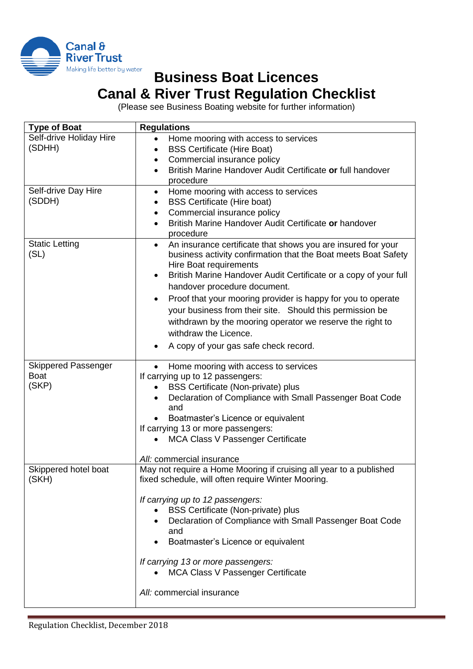

## **Business Boat Licences Canal & River Trust Regulation Checklist**

(Please see Business Boating website for further information)

| <b>Type of Boat</b>                                | <b>Regulations</b>                                                                                                                                                                                                                                                                                                                                                                                                                                                                                                                   |
|----------------------------------------------------|--------------------------------------------------------------------------------------------------------------------------------------------------------------------------------------------------------------------------------------------------------------------------------------------------------------------------------------------------------------------------------------------------------------------------------------------------------------------------------------------------------------------------------------|
| Self-drive Holiday Hire<br>(SDHH)                  | Home mooring with access to services<br><b>BSS Certificate (Hire Boat)</b><br>$\bullet$<br>Commercial insurance policy<br>٠<br>British Marine Handover Audit Certificate or full handover<br>$\bullet$<br>procedure                                                                                                                                                                                                                                                                                                                  |
| Self-drive Day Hire<br>(SDDH)                      | Home mooring with access to services<br>$\bullet$<br><b>BSS Certificate (Hire boat)</b><br>Commercial insurance policy<br>British Marine Handover Audit Certificate or handover<br>$\bullet$<br>procedure                                                                                                                                                                                                                                                                                                                            |
| <b>Static Letting</b><br>(SL)                      | An insurance certificate that shows you are insured for your<br>$\bullet$<br>business activity confirmation that the Boat meets Boat Safety<br>Hire Boat requirements<br>British Marine Handover Audit Certificate or a copy of your full<br>handover procedure document.<br>Proof that your mooring provider is happy for you to operate<br>your business from their site. Should this permission be<br>withdrawn by the mooring operator we reserve the right to<br>withdraw the Licence.<br>A copy of your gas safe check record. |
| <b>Skippered Passenger</b><br><b>Boat</b><br>(SKP) | Home mooring with access to services<br>If carrying up to 12 passengers:<br><b>BSS Certificate (Non-private) plus</b><br>٠<br>Declaration of Compliance with Small Passenger Boat Code<br>and<br>Boatmaster's Licence or equivalent<br>If carrying 13 or more passengers:<br><b>MCA Class V Passenger Certificate</b><br>All: commercial insurance                                                                                                                                                                                   |
| Skippered hotel boat<br>(SKH)                      | May not require a Home Mooring if cruising all year to a published<br>fixed schedule, will often require Winter Mooring.<br>If carrying up to 12 passengers:<br><b>BSS Certificate (Non-private) plus</b><br>Declaration of Compliance with Small Passenger Boat Code<br>and<br>Boatmaster's Licence or equivalent<br>If carrying 13 or more passengers:<br><b>MCA Class V Passenger Certificate</b><br>All: commercial insurance                                                                                                    |